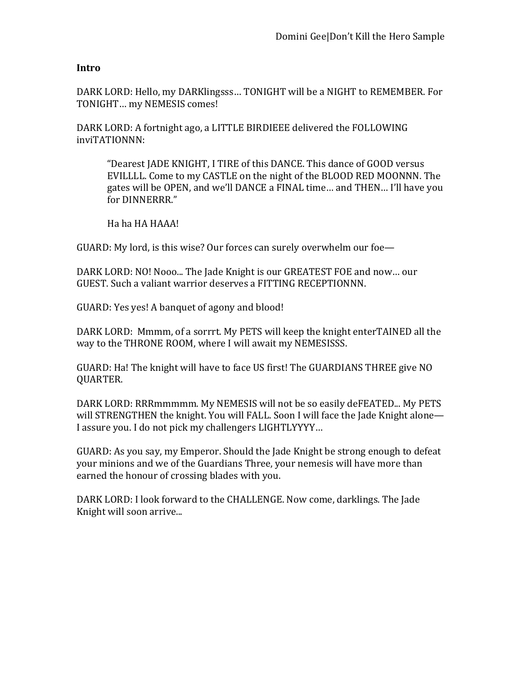## **Intro**

DARK LORD: Hello, my DARKlingsss... TONIGHT will be a NIGHT to REMEMBER. For TONIGHT... my NEMESIS comes!

DARK LORD: A fortnight ago, a LITTLE BIRDIEEE delivered the FOLLOWING inviTATIONNN:

"Dearest JADE KNIGHT, I TIRE of this DANCE. This dance of GOOD versus EVILLLL. Come to my CASTLE on the night of the BLOOD RED MOONNN. The gates will be OPEN, and we'll DANCE a FINAL time... and THEN... I'll have you for DINNERRR."

Ha ha HA HAAA!

GUARD: My lord, is this wise? Our forces can surely overwhelm our foe—

DARK LORD: NO! Nooo... The Jade Knight is our GREATEST FOE and now... our GUEST. Such a valiant warrior deserves a FITTING RECEPTIONNN.

GUARD: Yes yes! A banquet of agony and blood!

DARK LORD: Mmmm, of a sorrrt. My PETS will keep the knight enterTAINED all the way to the THRONE ROOM, where I will await my NEMESISSS.

GUARD: Ha! The knight will have to face US first! The GUARDIANS THREE give NO QUARTER.

DARK LORD: RRRmmmmm. My NEMESIS will not be so easily deFEATED... My PETS will STRENGTHEN the knight. You will FALL. Soon I will face the Jade Knight alone— I assure you. I do not pick my challengers LIGHTLYYYY...

GUARD: As you say, my Emperor. Should the Jade Knight be strong enough to defeat your minions and we of the Guardians Three, your nemesis will have more than earned the honour of crossing blades with you.

DARK LORD: I look forward to the CHALLENGE. Now come, darklings. The Jade Knight will soon arrive...